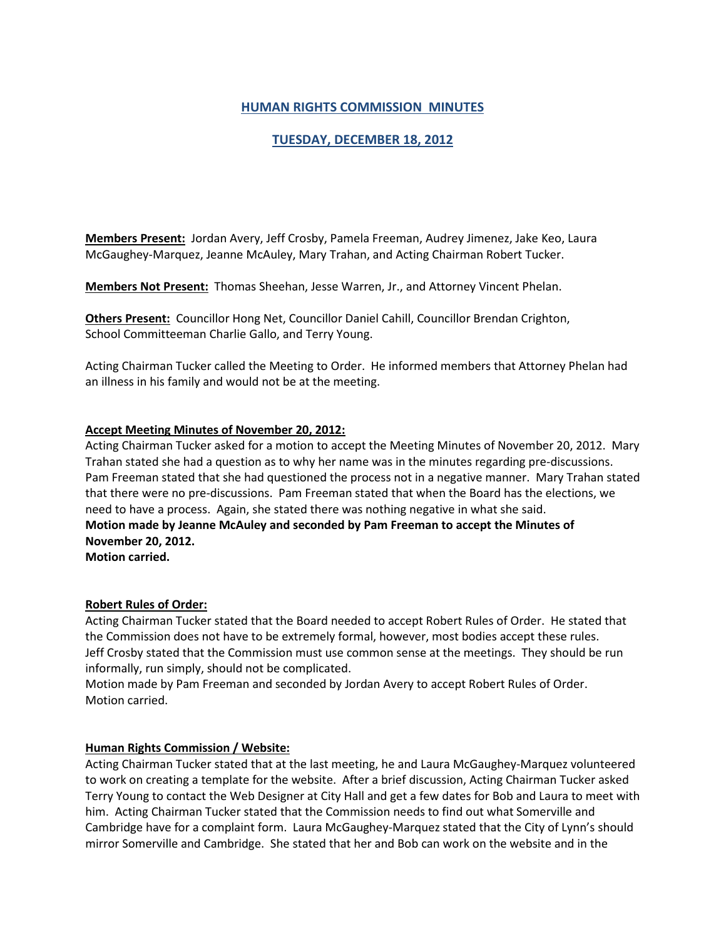# **HUMAN RIGHTS COMMISSION MINUTES**

# **TUESDAY, DECEMBER 18, 2012**

**Members Present:** Jordan Avery, Jeff Crosby, Pamela Freeman, Audrey Jimenez, Jake Keo, Laura McGaughey-Marquez, Jeanne McAuley, Mary Trahan, and Acting Chairman Robert Tucker.

**Members Not Present:** Thomas Sheehan, Jesse Warren, Jr., and Attorney Vincent Phelan.

**Others Present:** Councillor Hong Net, Councillor Daniel Cahill, Councillor Brendan Crighton, School Committeeman Charlie Gallo, and Terry Young.

Acting Chairman Tucker called the Meeting to Order. He informed members that Attorney Phelan had an illness in his family and would not be at the meeting.

### **Accept Meeting Minutes of November 20, 2012:**

Acting Chairman Tucker asked for a motion to accept the Meeting Minutes of November 20, 2012. Mary Trahan stated she had a question as to why her name was in the minutes regarding pre-discussions. Pam Freeman stated that she had questioned the process not in a negative manner. Mary Trahan stated that there were no pre-discussions. Pam Freeman stated that when the Board has the elections, we need to have a process. Again, she stated there was nothing negative in what she said. **Motion made by Jeanne McAuley and seconded by Pam Freeman to accept the Minutes of November 20, 2012.**

**Motion carried.**

### **Robert Rules of Order:**

Acting Chairman Tucker stated that the Board needed to accept Robert Rules of Order. He stated that the Commission does not have to be extremely formal, however, most bodies accept these rules. Jeff Crosby stated that the Commission must use common sense at the meetings. They should be run informally, run simply, should not be complicated.

Motion made by Pam Freeman and seconded by Jordan Avery to accept Robert Rules of Order. Motion carried.

### **Human Rights Commission / Website:**

Acting Chairman Tucker stated that at the last meeting, he and Laura McGaughey-Marquez volunteered to work on creating a template for the website. After a brief discussion, Acting Chairman Tucker asked Terry Young to contact the Web Designer at City Hall and get a few dates for Bob and Laura to meet with him. Acting Chairman Tucker stated that the Commission needs to find out what Somerville and Cambridge have for a complaint form. Laura McGaughey-Marquez stated that the City of Lynn's should mirror Somerville and Cambridge. She stated that her and Bob can work on the website and in the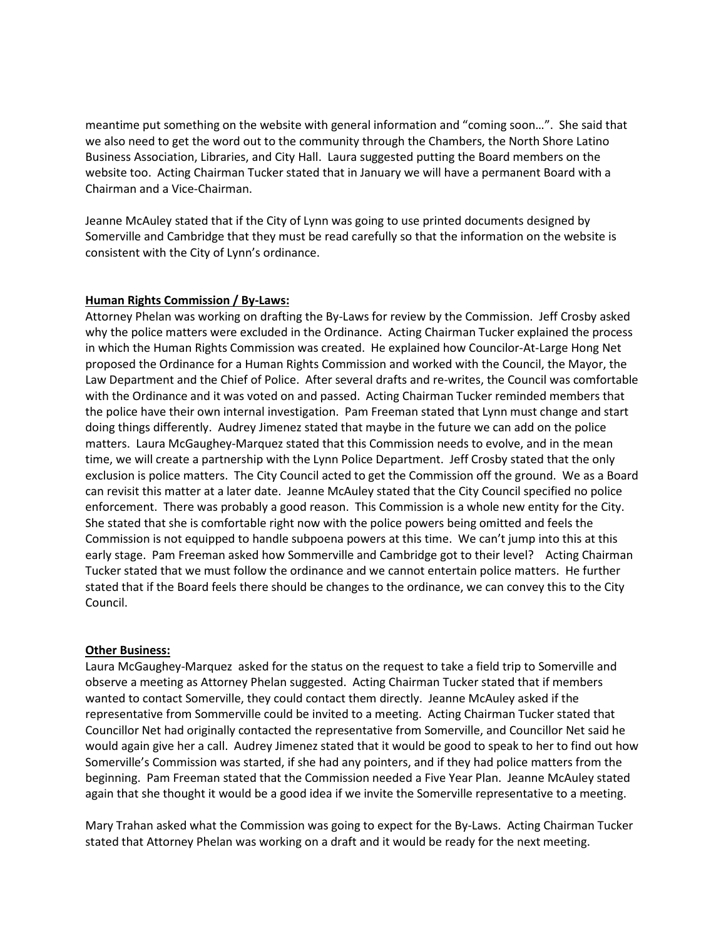meantime put something on the website with general information and "coming soon…". She said that we also need to get the word out to the community through the Chambers, the North Shore Latino Business Association, Libraries, and City Hall. Laura suggested putting the Board members on the website too. Acting Chairman Tucker stated that in January we will have a permanent Board with a Chairman and a Vice-Chairman.

Jeanne McAuley stated that if the City of Lynn was going to use printed documents designed by Somerville and Cambridge that they must be read carefully so that the information on the website is consistent with the City of Lynn's ordinance.

#### **Human Rights Commission / By-Laws:**

Attorney Phelan was working on drafting the By-Laws for review by the Commission. Jeff Crosby asked why the police matters were excluded in the Ordinance. Acting Chairman Tucker explained the process in which the Human Rights Commission was created. He explained how Councilor-At-Large Hong Net proposed the Ordinance for a Human Rights Commission and worked with the Council, the Mayor, the Law Department and the Chief of Police. After several drafts and re-writes, the Council was comfortable with the Ordinance and it was voted on and passed. Acting Chairman Tucker reminded members that the police have their own internal investigation. Pam Freeman stated that Lynn must change and start doing things differently. Audrey Jimenez stated that maybe in the future we can add on the police matters. Laura McGaughey-Marquez stated that this Commission needs to evolve, and in the mean time, we will create a partnership with the Lynn Police Department. Jeff Crosby stated that the only exclusion is police matters. The City Council acted to get the Commission off the ground. We as a Board can revisit this matter at a later date. Jeanne McAuley stated that the City Council specified no police enforcement. There was probably a good reason. This Commission is a whole new entity for the City. She stated that she is comfortable right now with the police powers being omitted and feels the Commission is not equipped to handle subpoena powers at this time. We can't jump into this at this early stage. Pam Freeman asked how Sommerville and Cambridge got to their level? Acting Chairman Tucker stated that we must follow the ordinance and we cannot entertain police matters. He further stated that if the Board feels there should be changes to the ordinance, we can convey this to the City Council.

#### **Other Business:**

Laura McGaughey-Marquez asked for the status on the request to take a field trip to Somerville and observe a meeting as Attorney Phelan suggested. Acting Chairman Tucker stated that if members wanted to contact Somerville, they could contact them directly. Jeanne McAuley asked if the representative from Sommerville could be invited to a meeting. Acting Chairman Tucker stated that Councillor Net had originally contacted the representative from Somerville, and Councillor Net said he would again give her a call. Audrey Jimenez stated that it would be good to speak to her to find out how Somerville's Commission was started, if she had any pointers, and if they had police matters from the beginning. Pam Freeman stated that the Commission needed a Five Year Plan. Jeanne McAuley stated again that she thought it would be a good idea if we invite the Somerville representative to a meeting.

Mary Trahan asked what the Commission was going to expect for the By-Laws. Acting Chairman Tucker stated that Attorney Phelan was working on a draft and it would be ready for the next meeting.